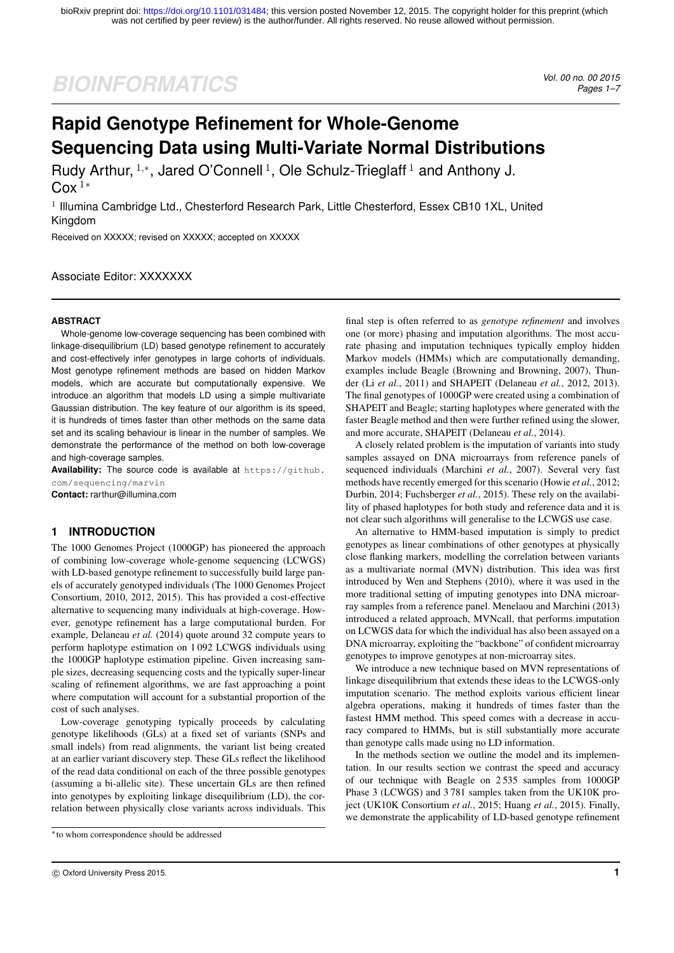# *BIOINFORMATICS Vol. 00 no. 00 2015*

*Pages 1–7*

## **Rapid Genotype Refinement for Whole-Genome Sequencing Data using Multi-Variate Normal Distributions**

Rudy Arthur,  $1,*$ , Jared O'Connell  $1$ , Ole Schulz-Trieglaff  $1$  and Anthony J.  $C_0x^1*$ 

<sup>1</sup> Illumina Cambridge Ltd., Chesterford Research Park, Little Chesterford, Essex CB10 1XL, United Kingdom

Received on XXXXX; revised on XXXXX; accepted on XXXXX

## Associate Editor: XXXXXXX

## **ABSTRACT**

Whole-genome low-coverage sequencing has been combined with linkage-disequilibrium (LD) based genotype refinement to accurately and cost-effectively infer genotypes in large cohorts of individuals. Most genotype refinement methods are based on hidden Markov models, which are accurate but computationally expensive. We introduce an algorithm that models LD using a simple multivariate Gaussian distribution. The key feature of our algorithm is its speed, it is hundreds of times faster than other methods on the same data set and its scaling behaviour is linear in the number of samples. We demonstrate the performance of the method on both low-coverage and high-coverage samples.

**Availability:** The source code is available at https://github. com/sequencing/marvin

**Contact:** rarthur@illumina.com

## **1 INTRODUCTION**

The 1000 Genomes Project (1000GP) has pioneered the approach of combining low-coverage whole-genome sequencing (LCWGS) with LD-based genotype refinement to successfully build large panels of accurately genotyped individuals (The 1000 Genomes Project Consortium, 2010, 2012, 2015). This has provided a cost-effective alternative to sequencing many individuals at high-coverage. However, genotype refinement has a large computational burden. For example, Delaneau *et al.* (2014) quote around 32 compute years to perform haplotype estimation on 1 092 LCWGS individuals using the 1000GP haplotype estimation pipeline. Given increasing sample sizes, decreasing sequencing costs and the typically super-linear scaling of refinement algorithms, we are fast approaching a point where computation will account for a substantial proportion of the cost of such analyses.

Low-coverage genotyping typically proceeds by calculating genotype likelihoods (GLs) at a fixed set of variants (SNPs and small indels) from read alignments, the variant list being created at an earlier variant discovery step. These GLs reflect the likelihood of the read data conditional on each of the three possible genotypes (assuming a bi-allelic site). These uncertain GLs are then refined into genotypes by exploiting linkage disequilibrium (LD), the correlation between physically close variants across individuals. This final step is often referred to as *genotype refinement* and involves one (or more) phasing and imputation algorithms. The most accurate phasing and imputation techniques typically employ hidden Markov models (HMMs) which are computationally demanding, examples include Beagle (Browning and Browning, 2007), Thunder (Li *et al.*, 2011) and SHAPEIT (Delaneau *et al.*, 2012, 2013). The final genotypes of 1000GP were created using a combination of SHAPEIT and Beagle; starting haplotypes where generated with the faster Beagle method and then were further refined using the slower, and more accurate, SHAPEIT (Delaneau *et al.*, 2014).

A closely related problem is the imputation of variants into study samples assayed on DNA microarrays from reference panels of sequenced individuals (Marchini *et al.*, 2007). Several very fast methods have recently emerged for this scenario (Howie *et al.*, 2012; Durbin, 2014; Fuchsberger *et al.*, 2015). These rely on the availability of phased haplotypes for both study and reference data and it is not clear such algorithms will generalise to the LCWGS use case.

An alternative to HMM-based imputation is simply to predict genotypes as linear combinations of other genotypes at physically close flanking markers, modelling the correlation between variants as a multivariate normal (MVN) distribution. This idea was first introduced by Wen and Stephens (2010), where it was used in the more traditional setting of imputing genotypes into DNA microarray samples from a reference panel. Menelaou and Marchini (2013) introduced a related approach, MVNcall, that performs imputation on LCWGS data for which the individual has also been assayed on a DNA microarray, exploiting the "backbone" of confident microarray genotypes to improve genotypes at non-microarray sites.

We introduce a new technique based on MVN representations of linkage disequilibrium that extends these ideas to the LCWGS-only imputation scenario. The method exploits various efficient linear algebra operations, making it hundreds of times faster than the fastest HMM method. This speed comes with a decrease in accuracy compared to HMMs, but is still substantially more accurate than genotype calls made using no LD information.

In the methods section we outline the model and its implementation. In our results section we contrast the speed and accuracy of our technique with Beagle on 2 535 samples from 1000GP Phase 3 (LCWGS) and 3 781 samples taken from the UK10K project (UK10K Consortium *et al.*, 2015; Huang *et al.*, 2015). Finally, we demonstrate the applicability of LD-based genotype refinement

<sup>∗</sup>to whom correspondence should be addressed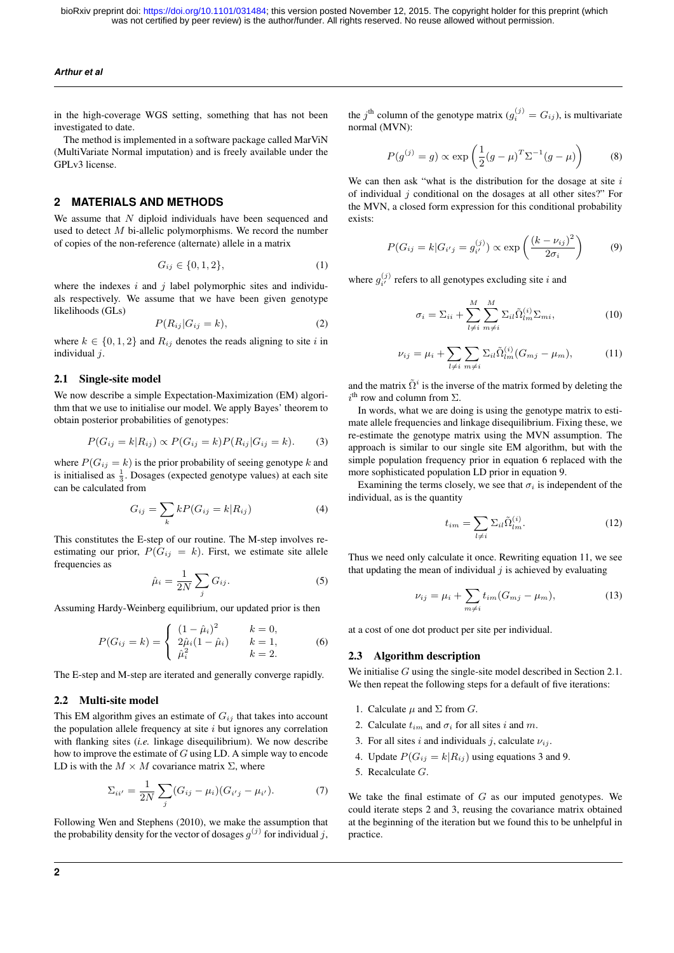#### *Arthur et al*

in the high-coverage WGS setting, something that has not been investigated to date.

The method is implemented in a software package called MarViN (MultiVariate Normal imputation) and is freely available under the GPLv3 license.

## **2 MATERIALS AND METHODS**

We assume that  $N$  diploid individuals have been sequenced and used to detect  $M$  bi-allelic polymorphisms. We record the number of copies of the non-reference (alternate) allele in a matrix

$$
G_{ij} \in \{0, 1, 2\},\tag{1}
$$

where the indexes  $i$  and  $j$  label polymorphic sites and individuals respectively. We assume that we have been given genotype likelihoods (GLs)

$$
P(R_{ij}|G_{ij}=k),\t\t(2)
$$

where  $k \in \{0, 1, 2\}$  and  $R_{ij}$  denotes the reads aligning to site i in individual j.

### 2.1 Single-site model

We now describe a simple Expectation-Maximization (EM) algorithm that we use to initialise our model. We apply Bayes' theorem to obtain posterior probabilities of genotypes:

$$
P(G_{ij} = k|R_{ij}) \propto P(G_{ij} = k)P(R_{ij}|G_{ij} = k). \tag{3}
$$

where  $P(G_{ij} = k)$  is the prior probability of seeing genotype k and is initialised as  $\frac{1}{3}$ . Dosages (expected genotype values) at each site can be calculated from

$$
G_{ij} = \sum_{k} k P(G_{ij} = k | R_{ij})
$$
\n(4)

This constitutes the E-step of our routine. The M-step involves reestimating our prior,  $P(G_{ij} = k)$ . First, we estimate site allele frequencies as

$$
\hat{\mu}_i = \frac{1}{2N} \sum_j G_{ij}.\tag{5}
$$

Assuming Hardy-Weinberg equilibrium, our updated prior is then

$$
P(G_{ij} = k) = \begin{cases} (1 - \hat{\mu}_i)^2 & k = 0, \\ 2\hat{\mu}_i(1 - \hat{\mu}_i) & k = 1, \\ \hat{\mu}_i^2 & k = 2. \end{cases}
$$
 (6)

The E-step and M-step are iterated and generally converge rapidly.

## 2.2 Multi-site model

This EM algorithm gives an estimate of  $G_{ij}$  that takes into account the population allele frequency at site  $i$  but ignores any correlation with flanking sites (*i.e.* linkage disequilibrium). We now describe how to improve the estimate of G using LD. A simple way to encode LD is with the  $M \times M$  covariance matrix  $\Sigma$ , where

$$
\Sigma_{ii'} = \frac{1}{2N} \sum_{j} (G_{ij} - \mu_i)(G_{i'j} - \mu_{i'}).
$$
 (7)

Following Wen and Stephens (2010), we make the assumption that the probability density for the vector of dosages  $g^{(j)}$  for individual  $j$ ,

the  $j^{\text{th}}$  column of the genotype matrix  $(g_i^{(j)} = G_{ij})$ , is multivariate normal (MVN):

$$
P(g^{(j)} = g) \propto \exp\left(\frac{1}{2}(g - \mu)^T \Sigma^{-1} (g - \mu)\right) \tag{8}
$$

We can then ask "what is the distribution for the dosage at site  $i$ of individual  $i$  conditional on the dosages at all other sites?" For the MVN, a closed form expression for this conditional probability exists:

$$
P(G_{ij} = k | G_{i'j} = g_{i'}^{(j)}) \propto \exp\left(\frac{(k - \nu_{ij})^2}{2\sigma_i}\right)
$$
 (9)

where  $g_{i'}^{(j)}$  refers to all genotypes excluding site i and

$$
\sigma_i = \Sigma_{ii} + \sum_{l \neq i}^{M} \sum_{m \neq i}^{M} \Sigma_{il} \tilde{\Omega}_{lm}^{(i)} \Sigma_{mi}, \qquad (10)
$$

$$
\nu_{ij} = \mu_i + \sum_{l \neq i} \sum_{m \neq i} \Sigma_{il} \tilde{\Omega}_{lm}^{(i)} (G_{mj} - \mu_m), \tag{11}
$$

and the matrix  $\tilde{\Omega}^i$  is the inverse of the matrix formed by deleting the  $i^{\text{th}}$  row and column from  $\Sigma$ .

In words, what we are doing is using the genotype matrix to estimate allele frequencies and linkage disequilibrium. Fixing these, we re-estimate the genotype matrix using the MVN assumption. The approach is similar to our single site EM algorithm, but with the simple population frequency prior in equation 6 replaced with the more sophisticated population LD prior in equation 9.

Examining the terms closely, we see that  $\sigma_i$  is independent of the individual, as is the quantity

$$
t_{im} = \sum_{l \neq i} \Sigma_{il} \tilde{\Omega}_{lm}^{(i)}.
$$
 (12)

Thus we need only calculate it once. Rewriting equation 11, we see that updating the mean of individual  $j$  is achieved by evaluating

$$
\nu_{ij} = \mu_i + \sum_{m \neq i} t_{im} (G_{mj} - \mu_m), \tag{13}
$$

at a cost of one dot product per site per individual.

#### 2.3 Algorithm description

We initialise G using the single-site model described in Section 2.1. We then repeat the following steps for a default of five iterations:

- 1. Calculate  $\mu$  and  $\Sigma$  from  $G$ .
- 2. Calculate  $t_{im}$  and  $\sigma_i$  for all sites i and m.
- 3. For all sites i and individuals j, calculate  $\nu_{ij}$ .
- 4. Update  $P(G_{ij} = k | R_{ij})$  using equations 3 and 9.
- 5. Recalculate G.

We take the final estimate of  $G$  as our imputed genotypes. We could iterate steps 2 and 3, reusing the covariance matrix obtained at the beginning of the iteration but we found this to be unhelpful in practice.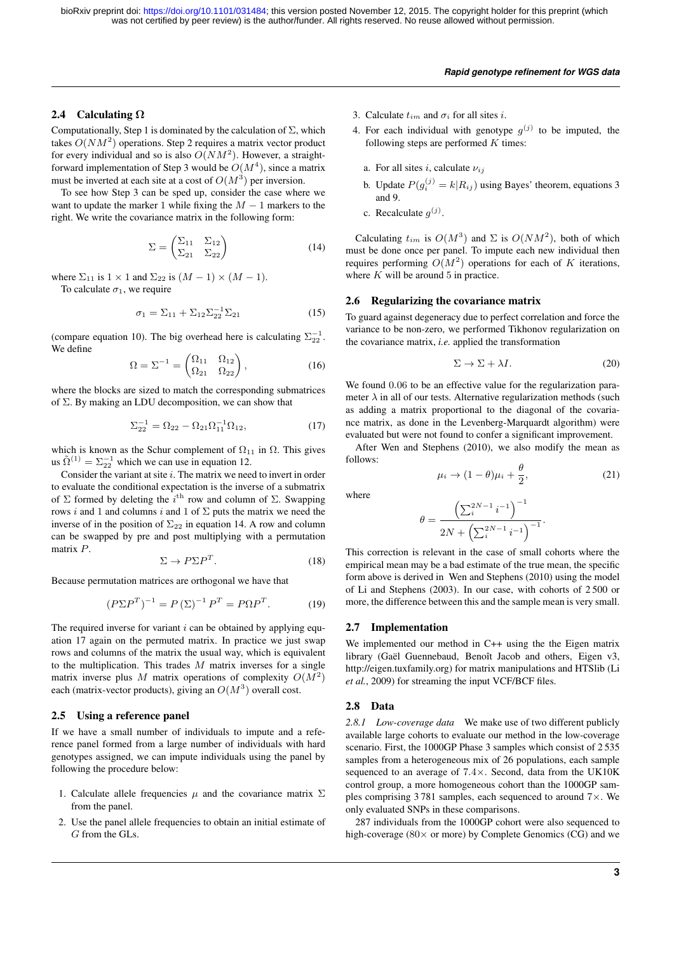#### *Rapid genotype refinement for WGS data*

#### 2.4 Calculating  $\Omega$

Computationally, Step 1 is dominated by the calculation of  $\Sigma$ , which takes  $O(NM^2)$  operations. Step 2 requires a matrix vector product for every individual and so is also  $O(NM^2)$ . However, a straightforward implementation of Step 3 would be  $O(M^4)$ , since a matrix must be inverted at each site at a cost of  $O(M^3)$  per inversion.

To see how Step 3 can be sped up, consider the case where we want to update the marker 1 while fixing the  $M - 1$  markers to the right. We write the covariance matrix in the following form:

$$
\Sigma = \begin{pmatrix} \Sigma_{11} & \Sigma_{12} \\ \Sigma_{21} & \Sigma_{22} \end{pmatrix}
$$
 (14)

where  $\Sigma_{11}$  is  $1 \times 1$  and  $\Sigma_{22}$  is  $(M - 1) \times (M - 1)$ . To calculate  $\sigma_1$ , we require

$$
\sigma_1 = \Sigma_{11} + \Sigma_{12} \Sigma_{22}^{-1} \Sigma_{21} \tag{15}
$$

(compare equation 10). The big overhead here is calculating  $\Sigma_{22}^{-1}$ . We define

$$
\Omega = \Sigma^{-1} = \begin{pmatrix} \Omega_{11} & \Omega_{12} \\ \Omega_{21} & \Omega_{22} \end{pmatrix},\tag{16}
$$

where the blocks are sized to match the corresponding submatrices of Σ. By making an LDU decomposition, we can show that

$$
\Sigma_{22}^{-1} = \Omega_{22} - \Omega_{21}\Omega_{11}^{-1}\Omega_{12},\tag{17}
$$

which is known as the Schur complement of  $\Omega_{11}$  in  $\Omega$ . This gives us  $\tilde{\Omega}^{(1)} = \Sigma_{22}^{-1}$  which we can use in equation 12.

Consider the variant at site  $i$ . The matrix we need to invert in order to evaluate the conditional expectation is the inverse of a submatrix of  $\Sigma$  formed by deleting the  $i^{\text{th}}$  row and column of  $\Sigma$ . Swapping rows i and 1 and columns i and 1 of  $\Sigma$  puts the matrix we need the inverse of in the position of  $\Sigma_{22}$  in equation 14. A row and column can be swapped by pre and post multiplying with a permutation matrix P.

$$
\Sigma \to P\Sigma P^T. \tag{18}
$$

Because permutation matrices are orthogonal we have that

$$
(P\Sigma P^T)^{-1} = P(\Sigma)^{-1} P^T = P\Omega P^T.
$$
 (19)

The required inverse for variant  $i$  can be obtained by applying equation 17 again on the permuted matrix. In practice we just swap rows and columns of the matrix the usual way, which is equivalent to the multiplication. This trades  $M$  matrix inverses for a single matrix inverse plus M matrix operations of complexity  $O(M^2)$ each (matrix-vector products), giving an  $O(M^3)$  overall cost.

#### 2.5 Using a reference panel

If we have a small number of individuals to impute and a reference panel formed from a large number of individuals with hard genotypes assigned, we can impute individuals using the panel by following the procedure below:

- 1. Calculate allele frequencies  $\mu$  and the covariance matrix  $\Sigma$ from the panel.
- 2. Use the panel allele frequencies to obtain an initial estimate of G from the GLs.
- 3. Calculate  $t_{im}$  and  $\sigma_i$  for all sites i.
- 4. For each individual with genotype  $g^{(j)}$  to be imputed, the following steps are performed  $K$  times:
	- a. For all sites i, calculate  $\nu_{ij}$
	- b. Update  $P(g_i^{(j)} = k | R_{ij})$  using Bayes' theorem, equations 3 and 9.
	- c. Recalculate  $g^{(j)}$ .

Calculating  $t_{im}$  is  $O(M^3)$  and  $\Sigma$  is  $O(NM^2)$ , both of which must be done once per panel. To impute each new individual then requires performing  $O(M^2)$  operations for each of K iterations, where  $K$  will be around 5 in practice.

#### 2.6 Regularizing the covariance matrix

To guard against degeneracy due to perfect correlation and force the variance to be non-zero, we performed Tikhonov regularization on the covariance matrix, *i.e.* applied the transformation

$$
\Sigma \to \Sigma + \lambda I. \tag{20}
$$

We found  $0.06$  to be an effective value for the regularization parameter  $\lambda$  in all of our tests. Alternative regularization methods (such as adding a matrix proportional to the diagonal of the covariance matrix, as done in the Levenberg-Marquardt algorithm) were evaluated but were not found to confer a significant improvement.

After Wen and Stephens (2010), we also modify the mean as follows:

$$
\mu_i \to (1 - \theta)\mu_i + \frac{\theta}{2},\tag{21}
$$

where

$$
\theta = \frac{\left(\sum_{i}^{2N-1} i^{-1}\right)^{-1}}{2N + \left(\sum_{i}^{2N-1} i^{-1}\right)^{-1}}.
$$

This correction is relevant in the case of small cohorts where the empirical mean may be a bad estimate of the true mean, the specific form above is derived in Wen and Stephens (2010) using the model of Li and Stephens (2003). In our case, with cohorts of 2 500 or more, the difference between this and the sample mean is very small.

#### 2.7 Implementation

We implemented our method in C++ using the the Eigen matrix library (Gaël Guennebaud, Benoît Jacob and others, Eigen v3, http://eigen.tuxfamily.org) for matrix manipulations and HTSlib (Li *et al.*, 2009) for streaming the input VCF/BCF files.

#### 2.8 Data

*2.8.1 Low-coverage data* We make use of two different publicly available large cohorts to evaluate our method in the low-coverage scenario. First, the 1000GP Phase 3 samples which consist of 2 535 samples from a heterogeneous mix of 26 populations, each sample sequenced to an average of 7.4×. Second, data from the UK10K control group, a more homogeneous cohort than the 1000GP samples comprising 3 781 samples, each sequenced to around 7×. We only evaluated SNPs in these comparisons.

287 individuals from the 1000GP cohort were also sequenced to high-coverage (80× or more) by Complete Genomics (CG) and we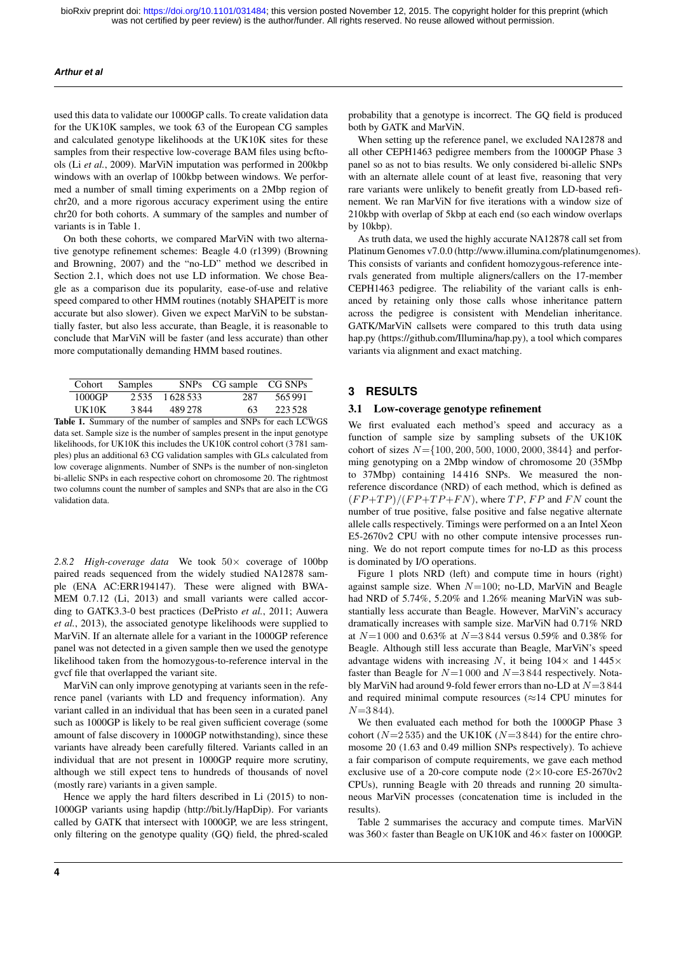#### *Arthur et al*

used this data to validate our 1000GP calls. To create validation data for the UK10K samples, we took 63 of the European CG samples and calculated genotype likelihoods at the UK10K sites for these samples from their respective low-coverage BAM files using bcftools (Li *et al.*, 2009). MarViN imputation was performed in 200kbp windows with an overlap of 100kbp between windows. We performed a number of small timing experiments on a 2Mbp region of chr20, and a more rigorous accuracy experiment using the entire chr20 for both cohorts. A summary of the samples and number of variants is in Table 1.

On both these cohorts, we compared MarViN with two alternative genotype refinement schemes: Beagle 4.0 (r1399) (Browning and Browning, 2007) and the "no-LD" method we described in Section 2.1, which does not use LD information. We chose Beagle as a comparison due its popularity, ease-of-use and relative speed compared to other HMM routines (notably SHAPEIT is more accurate but also slower). Given we expect MarViN to be substantially faster, but also less accurate, than Beagle, it is reasonable to conclude that MarViN will be faster (and less accurate) than other more computationally demanding HMM based routines.

| Cohort | Samples |                 | SNPs CG sample CG SNPs                                       |         |
|--------|---------|-----------------|--------------------------------------------------------------|---------|
| 1000GP |         | 2.535 1.628.533 | 287                                                          | 565991  |
| UK10K  | 3844    | 489 278         | 63                                                           | 223.528 |
|        |         |                 | le 1. Summery of the number of complex and SNDs for each LCW |         |

Table 1. Summary of the number of samples and SNPs for each LCWGS data set. Sample size is the number of samples present in the input genotype likelihoods, for UK10K this includes the UK10K control cohort (3781 samples) plus an additional 63 CG validation samples with GLs calculated from low coverage alignments. Number of SNPs is the number of non-singleton bi-allelic SNPs in each respective cohort on chromosome 20. The rightmost two columns count the number of samples and SNPs that are also in the CG validation data.

*2.8.2 High-coverage data* We took 50× coverage of 100bp paired reads sequenced from the widely studied NA12878 sample (ENA AC:ERR194147). These were aligned with BWA-MEM 0.7.12 (Li, 2013) and small variants were called according to GATK3.3-0 best practices (DePristo *et al.*, 2011; Auwera *et al.*, 2013), the associated genotype likelihoods were supplied to MarViN. If an alternate allele for a variant in the 1000GP reference panel was not detected in a given sample then we used the genotype likelihood taken from the homozygous-to-reference interval in the gvcf file that overlapped the variant site.

MarViN can only improve genotyping at variants seen in the reference panel (variants with LD and frequency information). Any variant called in an individual that has been seen in a curated panel such as 1000GP is likely to be real given sufficient coverage (some amount of false discovery in 1000GP notwithstanding), since these variants have already been carefully filtered. Variants called in an individual that are not present in 1000GP require more scrutiny, although we still expect tens to hundreds of thousands of novel (mostly rare) variants in a given sample.

Hence we apply the hard filters described in Li (2015) to non-1000GP variants using hapdip (http://bit.ly/HapDip). For variants called by GATK that intersect with 1000GP, we are less stringent, only filtering on the genotype quality (GQ) field, the phred-scaled probability that a genotype is incorrect. The GQ field is produced both by GATK and MarViN.

When setting up the reference panel, we excluded NA12878 and all other CEPH1463 pedigree members from the 1000GP Phase 3 panel so as not to bias results. We only considered bi-allelic SNPs with an alternate allele count of at least five, reasoning that very rare variants were unlikely to benefit greatly from LD-based refinement. We ran MarViN for five iterations with a window size of 210kbp with overlap of 5kbp at each end (so each window overlaps by 10kbp).

As truth data, we used the highly accurate NA12878 call set from Platinum Genomes v7.0.0 (http://www.illumina.com/platinumgenomes). This consists of variants and confident homozygous-reference intervals generated from multiple aligners/callers on the 17-member CEPH1463 pedigree. The reliability of the variant calls is enhanced by retaining only those calls whose inheritance pattern across the pedigree is consistent with Mendelian inheritance. GATK/MarViN callsets were compared to this truth data using hap.py (https://github.com/Illumina/hap.py), a tool which compares variants via alignment and exact matching.

## **3 RESULTS**

#### 3.1 Low-coverage genotype refinement

We first evaluated each method's speed and accuracy as a function of sample size by sampling subsets of the UK10K cohort of sizes  $N = \{100, 200, 500, 1000, 2000, 3844\}$  and performing genotyping on a 2Mbp window of chromosome 20 (35Mbp to 37Mbp) containing 14 416 SNPs. We measured the nonreference discordance (NRD) of each method, which is defined as  $(FP+TP)/(FP+TP+FN)$ , where  $TP$ ,  $FP$  and  $FN$  count the number of true positive, false positive and false negative alternate allele calls respectively. Timings were performed on a an Intel Xeon E5-2670v2 CPU with no other compute intensive processes running. We do not report compute times for no-LD as this process is dominated by I/O operations.

Figure 1 plots NRD (left) and compute time in hours (right) against sample size. When  $N=100$ ; no-LD, MarViN and Beagle had NRD of 5.74%, 5.20% and 1.26% meaning MarViN was substantially less accurate than Beagle. However, MarViN's accuracy dramatically increases with sample size. MarViN had 0.71% NRD at  $N=1000$  and 0.63% at  $N=3844$  versus 0.59% and 0.38% for Beagle. Although still less accurate than Beagle, MarViN's speed advantage widens with increasing N, it being  $104\times$  and  $1445\times$ faster than Beagle for  $N=1000$  and  $N=3844$  respectively. Notably MarViN had around 9-fold fewer errors than no-LD at  $N=3844$ and required minimal compute resources ( $\approx$ 14 CPU minutes for  $N=3844$ ).

We then evaluated each method for both the 1000GP Phase 3 cohort ( $N=2535$ ) and the UK10K ( $N=3844$ ) for the entire chromosome 20 (1.63 and 0.49 million SNPs respectively). To achieve a fair comparison of compute requirements, we gave each method exclusive use of a 20-core compute node  $(2 \times 10$ -core E5-2670v2 CPUs), running Beagle with 20 threads and running 20 simultaneous MarViN processes (concatenation time is included in the results).

Table 2 summarises the accuracy and compute times. MarViN was 360× faster than Beagle on UK10K and 46× faster on 1000GP.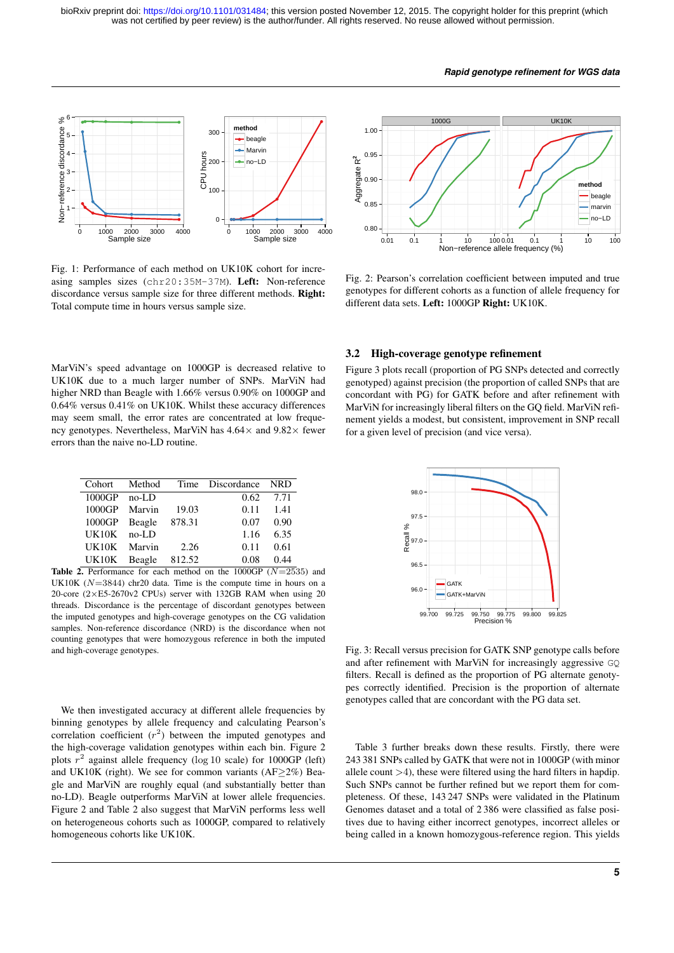#### *Rapid genotype refinement for WGS data*



Fig. 1: Performance of each method on UK10K cohort for increasing samples sizes (chr20:35M-37M). Left: Non-reference discordance versus sample size for three different methods. Right: Total compute time in hours versus sample size.

MarViN's speed advantage on 1000GP is decreased relative to UK10K due to a much larger number of SNPs. MarViN had higher NRD than Beagle with 1.66% versus 0.90% on 1000GP and 0.64% versus 0.41% on UK10K. Whilst these accuracy differences may seem small, the error rates are concentrated at low frequency genotypes. Nevertheless, MarViN has  $4.64 \times$  and  $9.82 \times$  fewer errors than the naive no-LD routine.

|               |        | Cohort Method Time Discordance NRD |                   |
|---------------|--------|------------------------------------|-------------------|
| 1000GP no-LD  |        |                                    | $0.62$ 7.71       |
| 1000GP Marvin | 19.03  | 0.11                               | -1.41             |
| 1000GP Beagle | 878.31 | 0.07                               | 0.90              |
| UK10K no-LD   |        |                                    | $1.16 \quad 6.35$ |
| UK10K Marvin  | 2.26   | 0.11                               | 0.61              |
| UK10K Beagle  | 812.52 | 0.08                               | 0.44              |

Table 2. Performance for each method on the 1000GP  $(N=2535)$  and UK10K  $(N=3844)$  chr20 data. Time is the compute time in hours on a 20-core (2×E5-2670v2 CPUs) server with 132GB RAM when using 20 threads. Discordance is the percentage of discordant genotypes between the imputed genotypes and high-coverage genotypes on the CG validation samples. Non-reference discordance (NRD) is the discordance when not counting genotypes that were homozygous reference in both the imputed and high-coverage genotypes.

We then investigated accuracy at different allele frequencies by binning genotypes by allele frequency and calculating Pearson's correlation coefficient  $(r^2)$  between the imputed genotypes and the high-coverage validation genotypes within each bin. Figure 2 plots  $r^2$  against allele frequency (log 10 scale) for 1000GP (left) and UK10K (right). We see for common variants (AF $\geq$ 2%) Beagle and MarViN are roughly equal (and substantially better than no-LD). Beagle outperforms MarViN at lower allele frequencies. Figure 2 and Table 2 also suggest that MarViN performs less well on heterogeneous cohorts such as 1000GP, compared to relatively homogeneous cohorts like UK10K.



Fig. 2: Pearson's correlation coefficient between imputed and true genotypes for different cohorts as a function of allele frequency for different data sets. Left: 1000GP Right: UK10K.

## 3.2 High-coverage genotype refinement

Figure 3 plots recall (proportion of PG SNPs detected and correctly genotyped) against precision (the proportion of called SNPs that are concordant with PG) for GATK before and after refinement with MarViN for increasingly liberal filters on the GQ field. MarViN refinement yields a modest, but consistent, improvement in SNP recall for a given level of precision (and vice versa).



Fig. 3: Recall versus precision for GATK SNP genotype calls before and after refinement with MarViN for increasingly aggressive GQ filters. Recall is defined as the proportion of PG alternate genotypes correctly identified. Precision is the proportion of alternate genotypes called that are concordant with the PG data set.

Table 3 further breaks down these results. Firstly, there were 243 381 SNPs called by GATK that were not in 1000GP (with minor allele count  $>4$ ), these were filtered using the hard filters in hapdip. Such SNPs cannot be further refined but we report them for completeness. Of these, 143 247 SNPs were validated in the Platinum Genomes dataset and a total of 2 386 were classified as false positives due to having either incorrect genotypes, incorrect alleles or being called in a known homozygous-reference region. This yields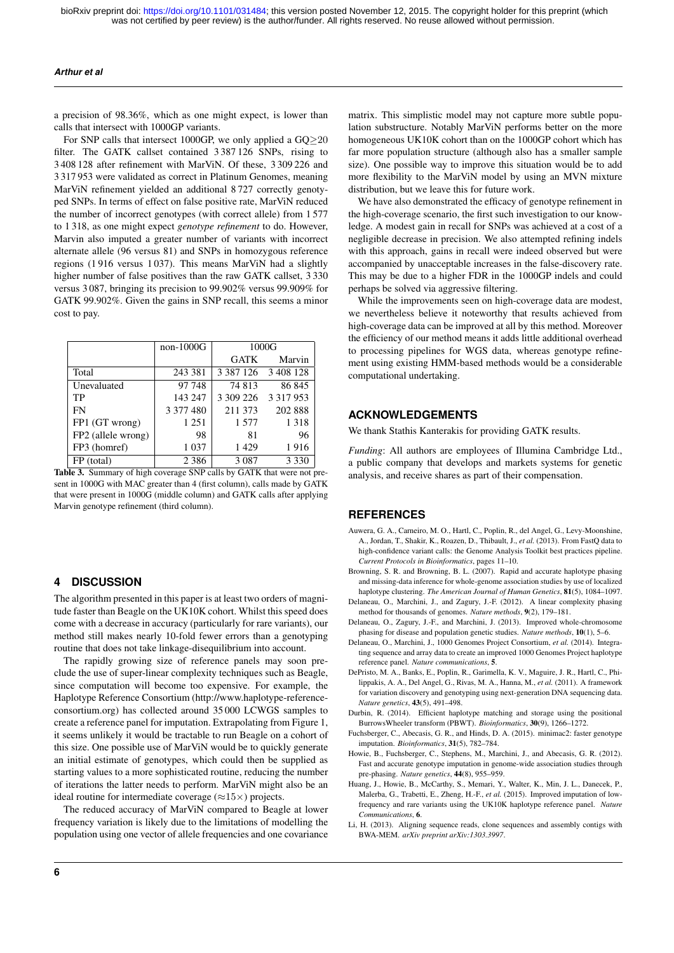#### *Arthur et al*

a precision of 98.36%, which as one might expect, is lower than calls that intersect with 1000GP variants.

For SNP calls that intersect 1000GP, we only applied a GQ≥20 filter. The GATK callset contained 3 387 126 SNPs, rising to 3 408 128 after refinement with MarViN. Of these, 3 309 226 and 3 317 953 were validated as correct in Platinum Genomes, meaning MarViN refinement yielded an additional 8 727 correctly genotyped SNPs. In terms of effect on false positive rate, MarViN reduced the number of incorrect genotypes (with correct allele) from 1 577 to 1 318, as one might expect *genotype refinement* to do. However, Marvin also imputed a greater number of variants with incorrect alternate allele (96 versus 81) and SNPs in homozygous reference regions (1 916 versus 1 037). This means MarViN had a slightly higher number of false positives than the raw GATK callset, 3 330 versus 3 087, bringing its precision to 99.902% versus 99.909% for GATK 99.902%. Given the gains in SNP recall, this seems a minor cost to pay.

|                    | $non-1000G$ | 1000G         |               |
|--------------------|-------------|---------------|---------------|
|                    |             | <b>GATK</b>   | Marvin        |
| Total              | 243 381     | 3 3 8 7 1 2 6 | 3 408 128     |
| Unevaluated        | 97 748      | 74 813        | 86 845        |
| TP                 | 143 247     | 3 309 226     | 3 3 1 7 9 5 3 |
| <b>FN</b>          | 3 377 480   | 211 373       | 202 888       |
| FP1 (GT wrong)     | 1 2 5 1     | 1577          | 1 3 1 8       |
| FP2 (allele wrong) | 98          | 81            | 96            |
| FP3 (homref)       | 1 0 3 7     | 1429          | 1916          |
| FP (total)         | 2 3 8 6     | 3 0 8 7       | 3 3 3 0       |

Table 3. Summary of high coverage SNP calls by GATK that were not present in 1000G with MAC greater than 4 (first column), calls made by GATK that were present in 1000G (middle column) and GATK calls after applying Marvin genotype refinement (third column).

## **4 DISCUSSION**

The algorithm presented in this paper is at least two orders of magnitude faster than Beagle on the UK10K cohort. Whilst this speed does come with a decrease in accuracy (particularly for rare variants), our method still makes nearly 10-fold fewer errors than a genotyping routine that does not take linkage-disequilibrium into account.

The rapidly growing size of reference panels may soon preclude the use of super-linear complexity techniques such as Beagle, since computation will become too expensive. For example, the Haplotype Reference Consortium (http://www.haplotype-referenceconsortium.org) has collected around 35 000 LCWGS samples to create a reference panel for imputation. Extrapolating from Figure 1, it seems unlikely it would be tractable to run Beagle on a cohort of this size. One possible use of MarViN would be to quickly generate an initial estimate of genotypes, which could then be supplied as starting values to a more sophisticated routine, reducing the number of iterations the latter needs to perform. MarViN might also be an ideal routine for intermediate coverage ( $\approx$ 15 $\times$ ) projects.

The reduced accuracy of MarViN compared to Beagle at lower frequency variation is likely due to the limitations of modelling the population using one vector of allele frequencies and one covariance

matrix. This simplistic model may not capture more subtle population substructure. Notably MarViN performs better on the more homogeneous UK10K cohort than on the 1000GP cohort which has far more population structure (although also has a smaller sample size). One possible way to improve this situation would be to add more flexibility to the MarViN model by using an MVN mixture distribution, but we leave this for future work.

We have also demonstrated the efficacy of genotype refinement in the high-coverage scenario, the first such investigation to our knowledge. A modest gain in recall for SNPs was achieved at a cost of a negligible decrease in precision. We also attempted refining indels with this approach, gains in recall were indeed observed but were accompanied by unacceptable increases in the false-discovery rate. This may be due to a higher FDR in the 1000GP indels and could perhaps be solved via aggressive filtering.

While the improvements seen on high-coverage data are modest, we nevertheless believe it noteworthy that results achieved from high-coverage data can be improved at all by this method. Moreover the efficiency of our method means it adds little additional overhead to processing pipelines for WGS data, whereas genotype refinement using existing HMM-based methods would be a considerable computational undertaking.

## **ACKNOWLEDGEMENTS**

We thank Stathis Kanterakis for providing GATK results.

*Funding*: All authors are employees of Illumina Cambridge Ltd., a public company that develops and markets systems for genetic analysis, and receive shares as part of their compensation.

## **REFERENCES**

- Auwera, G. A., Carneiro, M. O., Hartl, C., Poplin, R., del Angel, G., Levy-Moonshine, A., Jordan, T., Shakir, K., Roazen, D., Thibault, J., *et al.* (2013). From FastQ data to high-confidence variant calls: the Genome Analysis Toolkit best practices pipeline. *Current Protocols in Bioinformatics*, pages 11–10.
- Browning, S. R. and Browning, B. L. (2007). Rapid and accurate haplotype phasing and missing-data inference for whole-genome association studies by use of localized haplotype clustering. *The American Journal of Human Genetics*, 81(5), 1084–1097.
- Delaneau, O., Marchini, J., and Zagury, J.-F. (2012). A linear complexity phasing method for thousands of genomes. *Nature methods*, 9(2), 179–181.
- Delaneau, O., Zagury, J.-F., and Marchini, J. (2013). Improved whole-chromosome phasing for disease and population genetic studies. *Nature methods*, 10(1), 5–6.
- Delaneau, O., Marchini, J., 1000 Genomes Project Consortium, *et al.* (2014). Integrating sequence and array data to create an improved 1000 Genomes Project haplotype reference panel. *Nature communications*, 5.
- DePristo, M. A., Banks, E., Poplin, R., Garimella, K. V., Maguire, J. R., Hartl, C., Philippakis, A. A., Del Angel, G., Rivas, M. A., Hanna, M., *et al.* (2011). A framework for variation discovery and genotyping using next-generation DNA sequencing data. *Nature genetics*, 43(5), 491–498.
- Durbin, R. (2014). Efficient haplotype matching and storage using the positional BurrowsWheeler transform (PBWT). *Bioinformatics*, 30(9), 1266–1272.
- Fuchsberger, C., Abecasis, G. R., and Hinds, D. A. (2015). minimac2: faster genotype imputation. *Bioinformatics*, 31(5), 782–784.
- Howie, B., Fuchsberger, C., Stephens, M., Marchini, J., and Abecasis, G. R. (2012). Fast and accurate genotype imputation in genome-wide association studies through pre-phasing. *Nature genetics*, 44(8), 955–959.
- Huang, J., Howie, B., McCarthy, S., Memari, Y., Walter, K., Min, J. L., Danecek, P., Malerba, G., Trabetti, E., Zheng, H.-F., *et al.* (2015). Improved imputation of lowfrequency and rare variants using the UK10K haplotype reference panel. *Nature Communications*, 6.
- Li, H. (2013). Aligning sequence reads, clone sequences and assembly contigs with BWA-MEM. *arXiv preprint arXiv:1303.3997*.